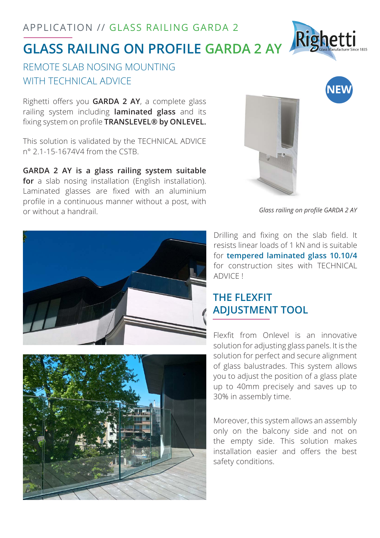# **GLASS RAILING ON PROFILE GARDA 2 AY**

### REMOTE SLAB NOSING MOUNTING WITH TECHNICAL ADVICE

Righetti offers you **GARDA 2 AY**, a complete glass railing system including **laminated glass** and its fixing system on profile **TRANSLEVEL® by ONLEVEL.**

This solution is validated by the TECHNICAL ADVICE n° 2.1-15-1674V4 from the CSTB.

**GARDA 2 AY is a glass railing system suitable for** a slab nosing installation (English installation). Laminated glasses are fixed with an aluminium profile in a continuous manner without a post, with or without a handrail.



*Glass railing on profile GARDA 2 AY*

Drilling and fixing on the slab field. It resists linear loads of 1 kN and is suitable for **tempered laminated glass 10.10/4**  for construction sites with TECHNICAL ADVICE !

# **THE FLEXFIT ADJUSTMENT TOOL**

Flexfit from Onlevel is an innovative solution for adjusting glass panels. It is the solution for perfect and secure alignment of glass balustrades. This system allows you to adjust the position of a glass plate up to 40mm precisely and saves up to 30% in assembly time.

Moreover, this system allows an assembly only on the balcony side and not on the empty side. This solution makes installation easier and offers the best safety conditions.